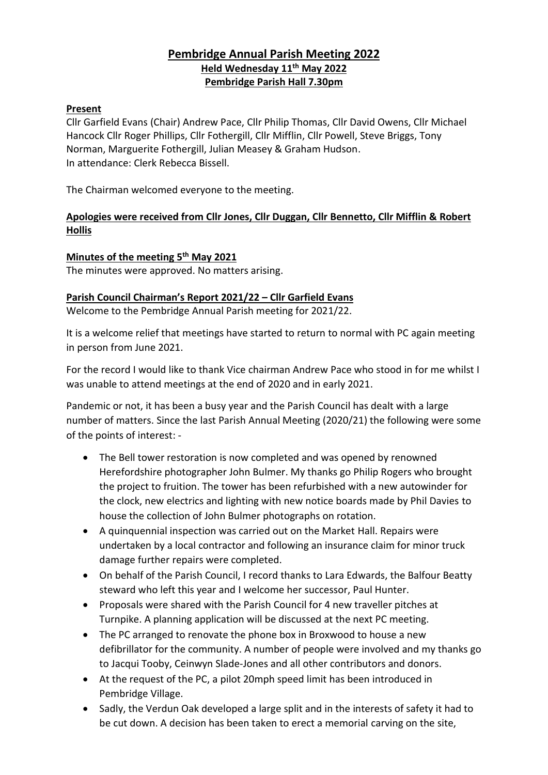# **Pembridge Annual Parish Meeting 2022 Held Wednesday 11th May 2022 Pembridge Parish Hall 7.30pm**

## **Present**

Cllr Garfield Evans (Chair) Andrew Pace, Cllr Philip Thomas, Cllr David Owens, Cllr Michael Hancock Cllr Roger Phillips, Cllr Fothergill, Cllr Mifflin, Cllr Powell, Steve Briggs, Tony Norman, Marguerite Fothergill, Julian Measey & Graham Hudson. In attendance: Clerk Rebecca Bissell.

The Chairman welcomed everyone to the meeting.

## **Apologies were received from Cllr Jones, Cllr Duggan, Cllr Bennetto, Cllr Mifflin & Robert Hollis**

## **Minutes of the meeting 5 th May 2021**

The minutes were approved. No matters arising.

## **Parish Council Chairman's Report 2021/22 – Cllr Garfield Evans**

Welcome to the Pembridge Annual Parish meeting for 2021/22.

It is a welcome relief that meetings have started to return to normal with PC again meeting in person from June 2021.

For the record I would like to thank Vice chairman Andrew Pace who stood in for me whilst I was unable to attend meetings at the end of 2020 and in early 2021.

Pandemic or not, it has been a busy year and the Parish Council has dealt with a large number of matters. Since the last Parish Annual Meeting (2020/21) the following were some of the points of interest: -

- The Bell tower restoration is now completed and was opened by renowned Herefordshire photographer John Bulmer. My thanks go Philip Rogers who brought the project to fruition. The tower has been refurbished with a new autowinder for the clock, new electrics and lighting with new notice boards made by Phil Davies to house the collection of John Bulmer photographs on rotation.
- A quinquennial inspection was carried out on the Market Hall. Repairs were undertaken by a local contractor and following an insurance claim for minor truck damage further repairs were completed.
- On behalf of the Parish Council, I record thanks to Lara Edwards, the Balfour Beatty steward who left this year and I welcome her successor, Paul Hunter.
- Proposals were shared with the Parish Council for 4 new traveller pitches at Turnpike. A planning application will be discussed at the next PC meeting.
- The PC arranged to renovate the phone box in Broxwood to house a new defibrillator for the community. A number of people were involved and my thanks go to Jacqui Tooby, Ceinwyn Slade-Jones and all other contributors and donors.
- At the request of the PC, a pilot 20mph speed limit has been introduced in Pembridge Village.
- Sadly, the Verdun Oak developed a large split and in the interests of safety it had to be cut down. A decision has been taken to erect a memorial carving on the site,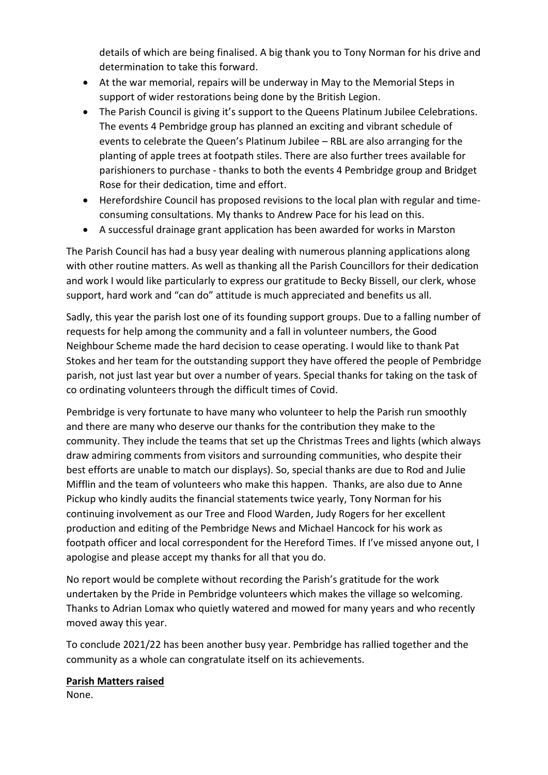details of which are being finalised. A big thank you to Tony Norman for his drive and determination to take this forward.

- At the war memorial, repairs will be underway in May to the Memorial Steps in support of wider restorations being done by the British Legion.
- The Parish Council is giving it's support to the Queens Platinum Jubilee Celebrations. The events 4 Pembridge group has planned an exciting and vibrant schedule of events to celebrate the Queen's Platinum Jubilee – RBL are also arranging for the planting of apple trees at footpath stiles. There are also further trees available for parishioners to purchase - thanks to both the events 4 Pembridge group and Bridget Rose for their dedication, time and effort.
- Herefordshire Council has proposed revisions to the local plan with regular and timeconsuming consultations. My thanks to Andrew Pace for his lead on this.
- A successful drainage grant application has been awarded for works in Marston

The Parish Council has had a busy year dealing with numerous planning applications along with other routine matters. As well as thanking all the Parish Councillors for their dedication and work I would like particularly to express our gratitude to Becky Bissell, our clerk, whose support, hard work and "can do" attitude is much appreciated and benefits us all.

Sadly, this year the parish lost one of its founding support groups. Due to a falling number of requests for help among the community and a fall in volunteer numbers, the Good Neighbour Scheme made the hard decision to cease operating. I would like to thank Pat Stokes and her team for the outstanding support they have offered the people of Pembridge parish, not just last year but over a number of years. Special thanks for taking on the task of co ordinating volunteers through the difficult times of Covid.

Pembridge is very fortunate to have many who volunteer to help the Parish run smoothly and there are many who deserve our thanks for the contribution they make to the community. They include the teams that set up the Christmas Trees and lights (which always draw admiring comments from visitors and surrounding communities, who despite their best efforts are unable to match our displays). So, special thanks are due to Rod and Julie Mifflin and the team of volunteers who make this happen. Thanks, are also due to Anne Pickup who kindly audits the financial statements twice yearly, Tony Norman for his continuing involvement as our Tree and Flood Warden, Judy Rogers for her excellent production and editing of the Pembridge News and Michael Hancock for his work as footpath officer and local correspondent for the Hereford Times. If I've missed anyone out, I apologise and please accept my thanks for all that you do.

No report would be complete without recording the Parish's gratitude for the work undertaken by the Pride in Pembridge volunteers which makes the village so welcoming. Thanks to Adrian Lomax who quietly watered and mowed for many years and who recently moved away this year.

To conclude 2021/22 has been another busy year. Pembridge has rallied together and the community as a whole can congratulate itself on its achievements.

## **Parish Matters raised**

None.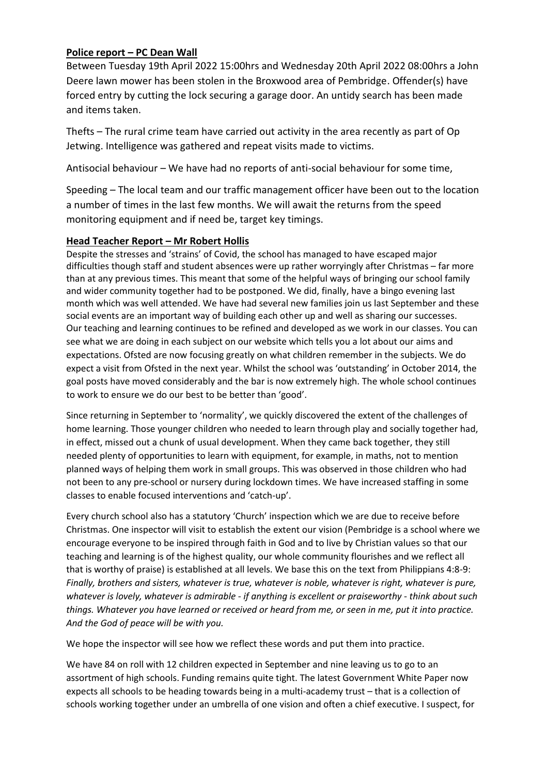## **Police report – PC Dean Wall**

Between Tuesday 19th April 2022 15:00hrs and Wednesday 20th April 2022 08:00hrs a John Deere lawn mower has been stolen in the Broxwood area of Pembridge. Offender(s) have forced entry by cutting the lock securing a garage door. An untidy search has been made and items taken.

Thefts – The rural crime team have carried out activity in the area recently as part of Op Jetwing. Intelligence was gathered and repeat visits made to victims.

Antisocial behaviour – We have had no reports of anti-social behaviour for some time,

Speeding – The local team and our traffic management officer have been out to the location a number of times in the last few months. We will await the returns from the speed monitoring equipment and if need be, target key timings.

## **Head Teacher Report – Mr Robert Hollis**

Despite the stresses and 'strains' of Covid, the school has managed to have escaped major difficulties though staff and student absences were up rather worryingly after Christmas – far more than at any previous times. This meant that some of the helpful ways of bringing our school family and wider community together had to be postponed. We did, finally, have a bingo evening last month which was well attended. We have had several new families join us last September and these social events are an important way of building each other up and well as sharing our successes. Our teaching and learning continues to be refined and developed as we work in our classes. You can see what we are doing in each subject on our website which tells you a lot about our aims and expectations. Ofsted are now focusing greatly on what children remember in the subjects. We do expect a visit from Ofsted in the next year. Whilst the school was 'outstanding' in October 2014, the goal posts have moved considerably and the bar is now extremely high. The whole school continues to work to ensure we do our best to be better than 'good'.

Since returning in September to 'normality', we quickly discovered the extent of the challenges of home learning. Those younger children who needed to learn through play and socially together had, in effect, missed out a chunk of usual development. When they came back together, they still needed plenty of opportunities to learn with equipment, for example, in maths, not to mention planned ways of helping them work in small groups. This was observed in those children who had not been to any pre-school or nursery during lockdown times. We have increased staffing in some classes to enable focused interventions and 'catch-up'.

Every church school also has a statutory 'Church' inspection which we are due to receive before Christmas. One inspector will visit to establish the extent our vision (Pembridge is a school where we encourage everyone to be inspired through faith in God and to live by Christian values so that our teaching and learning is of the highest quality, our whole community flourishes and we reflect all that is worthy of praise) is established at all levels. We base this on the text from Philippians 4:8-9: *Finally, brothers and sisters, whatever is true, whatever is noble, whatever is right, whatever is pure, whatever is lovely, whatever is admirable - if anything is excellent or praiseworthy - think about such things. Whatever you have learned or received or heard from me, or seen in me, put it into practice. And the God of peace will be with you.*

We hope the inspector will see how we reflect these words and put them into practice.

We have 84 on roll with 12 children expected in September and nine leaving us to go to an assortment of high schools. Funding remains quite tight. The latest Government White Paper now expects all schools to be heading towards being in a multi-academy trust – that is a collection of schools working together under an umbrella of one vision and often a chief executive. I suspect, for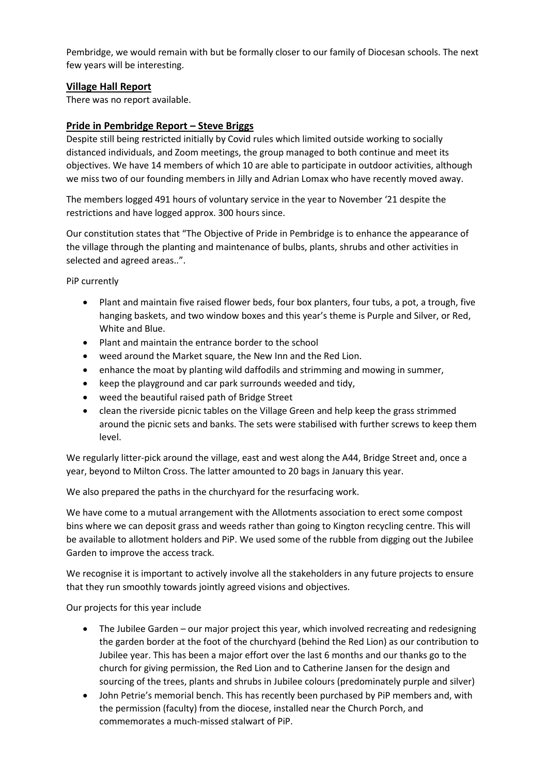Pembridge, we would remain with but be formally closer to our family of Diocesan schools. The next few years will be interesting.

## **Village Hall Report**

There was no report available.

## **Pride in Pembridge Report – Steve Briggs**

Despite still being restricted initially by Covid rules which limited outside working to socially distanced individuals, and Zoom meetings, the group managed to both continue and meet its objectives. We have 14 members of which 10 are able to participate in outdoor activities, although we miss two of our founding members in Jilly and Adrian Lomax who have recently moved away.

The members logged 491 hours of voluntary service in the year to November '21 despite the restrictions and have logged approx. 300 hours since.

Our constitution states that "The Objective of Pride in Pembridge is to enhance the appearance of the village through the planting and maintenance of bulbs, plants, shrubs and other activities in selected and agreed areas..".

PiP currently

- Plant and maintain five raised flower beds, four box planters, four tubs, a pot, a trough, five hanging baskets, and two window boxes and this year's theme is Purple and Silver, or Red, White and Blue.
- Plant and maintain the entrance border to the school
- weed around the Market square, the New Inn and the Red Lion.
- enhance the moat by planting wild daffodils and strimming and mowing in summer,
- keep the playground and car park surrounds weeded and tidy,
- weed the beautiful raised path of Bridge Street
- clean the riverside picnic tables on the Village Green and help keep the grass strimmed around the picnic sets and banks. The sets were stabilised with further screws to keep them level.

We regularly litter-pick around the village, east and west along the A44, Bridge Street and, once a year, beyond to Milton Cross. The latter amounted to 20 bags in January this year.

We also prepared the paths in the churchyard for the resurfacing work.

We have come to a mutual arrangement with the Allotments association to erect some compost bins where we can deposit grass and weeds rather than going to Kington recycling centre. This will be available to allotment holders and PiP. We used some of the rubble from digging out the Jubilee Garden to improve the access track.

We recognise it is important to actively involve all the stakeholders in any future projects to ensure that they run smoothly towards jointly agreed visions and objectives.

Our projects for this year include

- The Jubilee Garden our major project this year, which involved recreating and redesigning the garden border at the foot of the churchyard (behind the Red Lion) as our contribution to Jubilee year. This has been a major effort over the last 6 months and our thanks go to the church for giving permission, the Red Lion and to Catherine Jansen for the design and sourcing of the trees, plants and shrubs in Jubilee colours (predominately purple and silver)
- John Petrie's memorial bench. This has recently been purchased by PiP members and, with the permission (faculty) from the diocese, installed near the Church Porch, and commemorates a much-missed stalwart of PiP.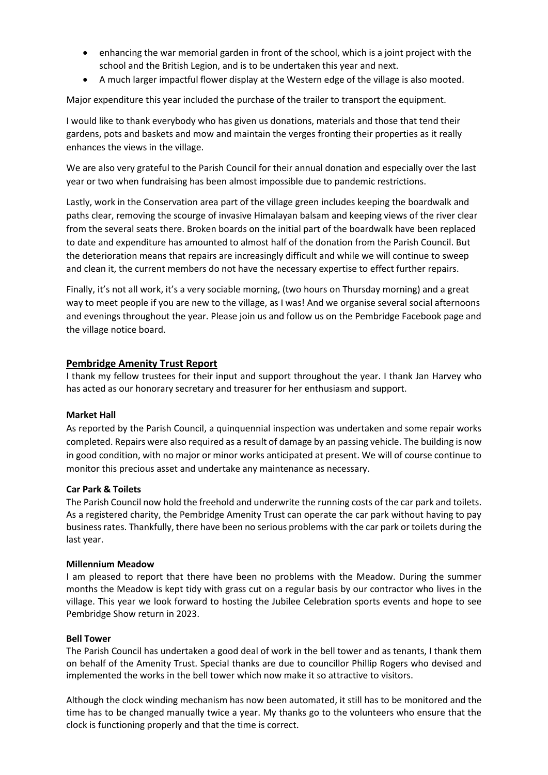- enhancing the war memorial garden in front of the school, which is a joint project with the school and the British Legion, and is to be undertaken this year and next.
- A much larger impactful flower display at the Western edge of the village is also mooted.

Major expenditure this year included the purchase of the trailer to transport the equipment.

I would like to thank everybody who has given us donations, materials and those that tend their gardens, pots and baskets and mow and maintain the verges fronting their properties as it really enhances the views in the village.

We are also very grateful to the Parish Council for their annual donation and especially over the last year or two when fundraising has been almost impossible due to pandemic restrictions.

Lastly, work in the Conservation area part of the village green includes keeping the boardwalk and paths clear, removing the scourge of invasive Himalayan balsam and keeping views of the river clear from the several seats there. Broken boards on the initial part of the boardwalk have been replaced to date and expenditure has amounted to almost half of the donation from the Parish Council. But the deterioration means that repairs are increasingly difficult and while we will continue to sweep and clean it, the current members do not have the necessary expertise to effect further repairs.

Finally, it's not all work, it's a very sociable morning, (two hours on Thursday morning) and a great way to meet people if you are new to the village, as I was! And we organise several social afternoons and evenings throughout the year. Please join us and follow us on the Pembridge Facebook page and the village notice board.

### **Pembridge Amenity Trust Report**

I thank my fellow trustees for their input and support throughout the year. I thank Jan Harvey who has acted as our honorary secretary and treasurer for her enthusiasm and support.

#### **Market Hall**

As reported by the Parish Council, a quinquennial inspection was undertaken and some repair works completed. Repairs were also required as a result of damage by an passing vehicle. The building is now in good condition, with no major or minor works anticipated at present. We will of course continue to monitor this precious asset and undertake any maintenance as necessary.

#### **Car Park & Toilets**

The Parish Council now hold the freehold and underwrite the running costs of the car park and toilets. As a registered charity, the Pembridge Amenity Trust can operate the car park without having to pay business rates. Thankfully, there have been no serious problems with the car park or toilets during the last year.

#### **Millennium Meadow**

I am pleased to report that there have been no problems with the Meadow. During the summer months the Meadow is kept tidy with grass cut on a regular basis by our contractor who lives in the village. This year we look forward to hosting the Jubilee Celebration sports events and hope to see Pembridge Show return in 2023.

#### **Bell Tower**

The Parish Council has undertaken a good deal of work in the bell tower and as tenants, I thank them on behalf of the Amenity Trust. Special thanks are due to councillor Phillip Rogers who devised and implemented the works in the bell tower which now make it so attractive to visitors.

Although the clock winding mechanism has now been automated, it still has to be monitored and the time has to be changed manually twice a year. My thanks go to the volunteers who ensure that the clock is functioning properly and that the time is correct.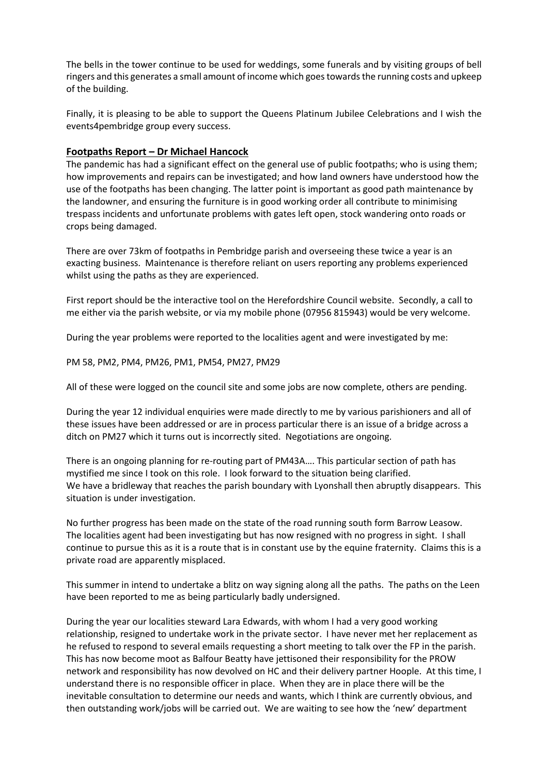The bells in the tower continue to be used for weddings, some funerals and by visiting groups of bell ringers and this generates a small amount of income which goes towards the running costs and upkeep of the building.

Finally, it is pleasing to be able to support the Queens Platinum Jubilee Celebrations and I wish the events4pembridge group every success.

### **Footpaths Report – Dr Michael Hancock**

The pandemic has had a significant effect on the general use of public footpaths; who is using them; how improvements and repairs can be investigated; and how land owners have understood how the use of the footpaths has been changing. The latter point is important as good path maintenance by the landowner, and ensuring the furniture is in good working order all contribute to minimising trespass incidents and unfortunate problems with gates left open, stock wandering onto roads or crops being damaged.

There are over 73km of footpaths in Pembridge parish and overseeing these twice a year is an exacting business. Maintenance is therefore reliant on users reporting any problems experienced whilst using the paths as they are experienced.

First report should be the interactive tool on the Herefordshire Council website. Secondly, a call to me either via the parish website, or via my mobile phone (07956 815943) would be very welcome.

During the year problems were reported to the localities agent and were investigated by me:

#### PM 58, PM2, PM4, PM26, PM1, PM54, PM27, PM29

All of these were logged on the council site and some jobs are now complete, others are pending.

During the year 12 individual enquiries were made directly to me by various parishioners and all of these issues have been addressed or are in process particular there is an issue of a bridge across a ditch on PM27 which it turns out is incorrectly sited. Negotiations are ongoing.

There is an ongoing planning for re-routing part of PM43A…. This particular section of path has mystified me since I took on this role. I look forward to the situation being clarified. We have a bridleway that reaches the parish boundary with Lyonshall then abruptly disappears. This situation is under investigation.

No further progress has been made on the state of the road running south form Barrow Leasow. The localities agent had been investigating but has now resigned with no progress in sight. I shall continue to pursue this as it is a route that is in constant use by the equine fraternity. Claims this is a private road are apparently misplaced.

This summer in intend to undertake a blitz on way signing along all the paths. The paths on the Leen have been reported to me as being particularly badly undersigned.

During the year our localities steward Lara Edwards, with whom I had a very good working relationship, resigned to undertake work in the private sector. I have never met her replacement as he refused to respond to several emails requesting a short meeting to talk over the FP in the parish. This has now become moot as Balfour Beatty have jettisoned their responsibility for the PROW network and responsibility has now devolved on HC and their delivery partner Hoople. At this time, I understand there is no responsible officer in place. When they are in place there will be the inevitable consultation to determine our needs and wants, which I think are currently obvious, and then outstanding work/jobs will be carried out. We are waiting to see how the 'new' department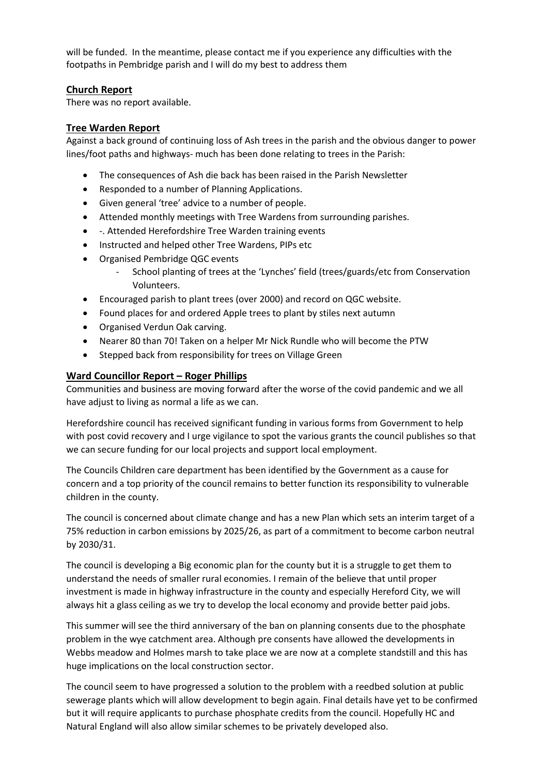will be funded. In the meantime, please contact me if you experience any difficulties with the footpaths in Pembridge parish and I will do my best to address them

### **Church Report**

There was no report available.

### **Tree Warden Report**

Against a back ground of continuing loss of Ash trees in the parish and the obvious danger to power lines/foot paths and highways- much has been done relating to trees in the Parish:

- The consequences of Ash die back has been raised in the Parish Newsletter
- Responded to a number of Planning Applications.
- Given general 'tree' advice to a number of people.
- Attended monthly meetings with Tree Wardens from surrounding parishes.
- -. Attended Herefordshire Tree Warden training events
- Instructed and helped other Tree Wardens, PIPs etc
- Organised Pembridge QGC events
	- School planting of trees at the 'Lynches' field (trees/guards/etc from Conservation Volunteers.
- Encouraged parish to plant trees (over 2000) and record on QGC website.
- Found places for and ordered Apple trees to plant by stiles next autumn
- Organised Verdun Oak carving.
- Nearer 80 than 70! Taken on a helper Mr Nick Rundle who will become the PTW
- Stepped back from responsibility for trees on Village Green

### **Ward Councillor Report – Roger Phillips**

Communities and business are moving forward after the worse of the covid pandemic and we all have adjust to living as normal a life as we can.

Herefordshire council has received significant funding in various forms from Government to help with post covid recovery and I urge vigilance to spot the various grants the council publishes so that we can secure funding for our local projects and support local employment.

The Councils Children care department has been identified by the Government as a cause for concern and a top priority of the council remains to better function its responsibility to vulnerable children in the county.

The council is concerned about climate change and has a new Plan which sets an interim target of a 75% reduction in carbon emissions by 2025/26, as part of a commitment to become carbon neutral by 2030/31.

The council is developing a Big economic plan for the county but it is a struggle to get them to understand the needs of smaller rural economies. I remain of the believe that until proper investment is made in highway infrastructure in the county and especially Hereford City, we will always hit a glass ceiling as we try to develop the local economy and provide better paid jobs.

This summer will see the third anniversary of the ban on planning consents due to the phosphate problem in the wye catchment area. Although pre consents have allowed the developments in Webbs meadow and Holmes marsh to take place we are now at a complete standstill and this has huge implications on the local construction sector.

The council seem to have progressed a solution to the problem with a reedbed solution at public sewerage plants which will allow development to begin again. Final details have yet to be confirmed but it will require applicants to purchase phosphate credits from the council. Hopefully HC and Natural England will also allow similar schemes to be privately developed also.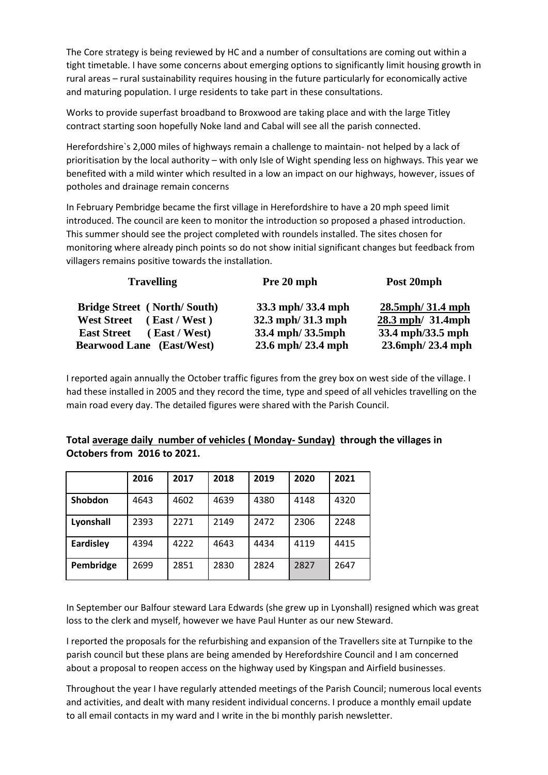The Core strategy is being reviewed by HC and a number of consultations are coming out within a tight timetable. I have some concerns about emerging options to significantly limit housing growth in rural areas – rural sustainability requires housing in the future particularly for economically active and maturing population. I urge residents to take part in these consultations.

Works to provide superfast broadband to Broxwood are taking place and with the large Titley contract starting soon hopefully Noke land and Cabal will see all the parish connected.

Herefordshire`s 2,000 miles of highways remain a challenge to maintain- not helped by a lack of prioritisation by the local authority – with only Isle of Wight spending less on highways. This year we benefited with a mild winter which resulted in a low an impact on our highways, however, issues of potholes and drainage remain concerns

In February Pembridge became the first village in Herefordshire to have a 20 mph speed limit introduced. The council are keen to monitor the introduction so proposed a phased introduction. This summer should see the project completed with roundels installed. The sites chosen for monitoring where already pinch points so do not show initial significant changes but feedback from villagers remains positive towards the installation.

| <b>Travelling</b>                      | Pre 20 mph        | Post 20mph             |  |
|----------------------------------------|-------------------|------------------------|--|
| <b>Bridge Street</b> (North/South)     | 33.3 mph/33.4 mph | $28.5$ mph $/31.4$ mph |  |
| <b>West Street</b><br>(East / West)    | 32.3 mph/31.3 mph | 28.3 mph/ 31.4mph      |  |
| $($ East / West)<br><b>East Street</b> | 33.4 mph/33.5mph  | 33.4 mph/33.5 mph      |  |
| <b>Bearwood Lane</b> (East/West)       | 23.6 mph/23.4 mph | 23.6mph/23.4 mph       |  |

I reported again annually the October traffic figures from the grey box on west side of the village. I had these installed in 2005 and they record the time, type and speed of all vehicles travelling on the main road every day. The detailed figures were shared with the Parish Council.

|                  | 2016 | 2017 | 2018 | 2019 | 2020 | 2021 |
|------------------|------|------|------|------|------|------|
| Shobdon          | 4643 | 4602 | 4639 | 4380 | 4148 | 4320 |
| Lyonshall        | 2393 | 2271 | 2149 | 2472 | 2306 | 2248 |
| <b>Eardisley</b> | 4394 | 4222 | 4643 | 4434 | 4119 | 4415 |
| Pembridge        | 2699 | 2851 | 2830 | 2824 | 2827 | 2647 |

## **Total average daily number of vehicles ( Monday- Sunday) through the villages in Octobers from 2016 to 2021.**

In September our Balfour steward Lara Edwards (she grew up in Lyonshall) resigned which was great loss to the clerk and myself, however we have Paul Hunter as our new Steward.

I reported the proposals for the refurbishing and expansion of the Travellers site at Turnpike to the parish council but these plans are being amended by Herefordshire Council and I am concerned about a proposal to reopen access on the highway used by Kingspan and Airfield businesses.

Throughout the year I have regularly attended meetings of the Parish Council; numerous local events and activities, and dealt with many resident individual concerns. I produce a monthly email update to all email contacts in my ward and I write in the bi monthly parish newsletter.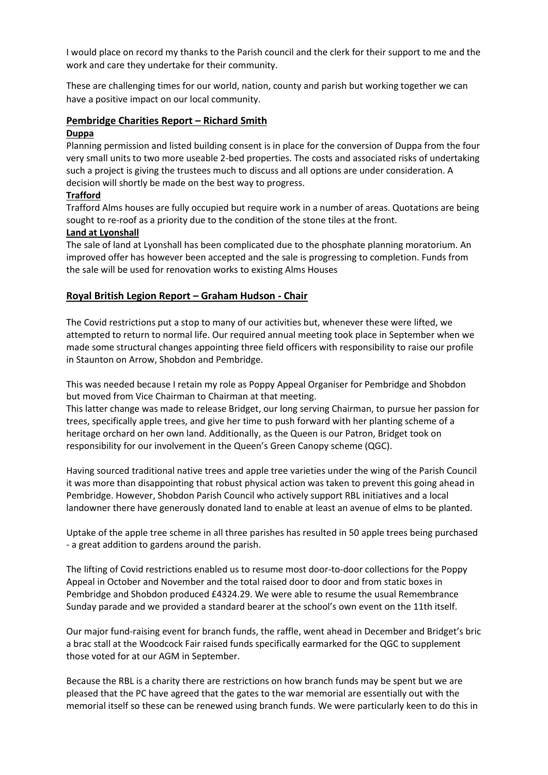I would place on record my thanks to the Parish council and the clerk for their support to me and the work and care they undertake for their community.

These are challenging times for our world, nation, county and parish but working together we can have a positive impact on our local community.

#### **Pembridge Charities Report – Richard Smith**

#### **Duppa**

Planning permission and listed building consent is in place for the conversion of Duppa from the four very small units to two more useable 2-bed properties. The costs and associated risks of undertaking such a project is giving the trustees much to discuss and all options are under consideration. A decision will shortly be made on the best way to progress.

### **Trafford**

Trafford Alms houses are fully occupied but require work in a number of areas. Quotations are being sought to re-roof as a priority due to the condition of the stone tiles at the front.

#### **Land at Lyonshall**

The sale of land at Lyonshall has been complicated due to the phosphate planning moratorium. An improved offer has however been accepted and the sale is progressing to completion. Funds from the sale will be used for renovation works to existing Alms Houses

## **Royal British Legion Report – Graham Hudson - Chair**

The Covid restrictions put a stop to many of our activities but, whenever these were lifted, we attempted to return to normal life. Our required annual meeting took place in September when we made some structural changes appointing three field officers with responsibility to raise our profile in Staunton on Arrow, Shobdon and Pembridge.

This was needed because I retain my role as Poppy Appeal Organiser for Pembridge and Shobdon but moved from Vice Chairman to Chairman at that meeting.

This latter change was made to release Bridget, our long serving Chairman, to pursue her passion for trees, specifically apple trees, and give her time to push forward with her planting scheme of a heritage orchard on her own land. Additionally, as the Queen is our Patron, Bridget took on responsibility for our involvement in the Queen's Green Canopy scheme (QGC).

Having sourced traditional native trees and apple tree varieties under the wing of the Parish Council it was more than disappointing that robust physical action was taken to prevent this going ahead in Pembridge. However, Shobdon Parish Council who actively support RBL initiatives and a local landowner there have generously donated land to enable at least an avenue of elms to be planted.

Uptake of the apple tree scheme in all three parishes has resulted in 50 apple trees being purchased - a great addition to gardens around the parish.

The lifting of Covid restrictions enabled us to resume most door-to-door collections for the Poppy Appeal in October and November and the total raised door to door and from static boxes in Pembridge and Shobdon produced £4324.29. We were able to resume the usual Remembrance Sunday parade and we provided a standard bearer at the school's own event on the 11th itself.

Our major fund-raising event for branch funds, the raffle, went ahead in December and Bridget's bric a brac stall at the Woodcock Fair raised funds specifically earmarked for the QGC to supplement those voted for at our AGM in September.

Because the RBL is a charity there are restrictions on how branch funds may be spent but we are pleased that the PC have agreed that the gates to the war memorial are essentially out with the memorial itself so these can be renewed using branch funds. We were particularly keen to do this in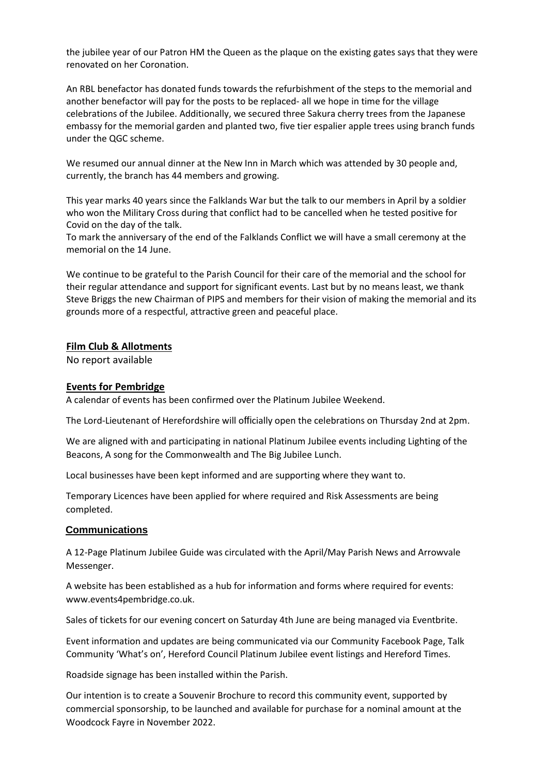the jubilee year of our Patron HM the Queen as the plaque on the existing gates says that they were renovated on her Coronation.

An RBL benefactor has donated funds towards the refurbishment of the steps to the memorial and another benefactor will pay for the posts to be replaced- all we hope in time for the village celebrations of the Jubilee. Additionally, we secured three Sakura cherry trees from the Japanese embassy for the memorial garden and planted two, five tier espalier apple trees using branch funds under the QGC scheme.

We resumed our annual dinner at the New Inn in March which was attended by 30 people and, currently, the branch has 44 members and growing.

This year marks 40 years since the Falklands War but the talk to our members in April by a soldier who won the Military Cross during that conflict had to be cancelled when he tested positive for Covid on the day of the talk.

To mark the anniversary of the end of the Falklands Conflict we will have a small ceremony at the memorial on the 14 June.

We continue to be grateful to the Parish Council for their care of the memorial and the school for their regular attendance and support for significant events. Last but by no means least, we thank Steve Briggs the new Chairman of PIPS and members for their vision of making the memorial and its grounds more of a respectful, attractive green and peaceful place.

#### **Film Club & Allotments**

No report available

#### **Events for Pembridge**

A calendar of events has been confirmed over the Platinum Jubilee Weekend.

The Lord-Lieutenant of Herefordshire will officially open the celebrations on Thursday 2nd at 2pm.

We are aligned with and participating in national Platinum Jubilee events including Lighting of the Beacons, A song for the Commonwealth and The Big Jubilee Lunch.

Local businesses have been kept informed and are supporting where they want to.

Temporary Licences have been applied for where required and Risk Assessments are being completed.

#### **Communications**

A 12-Page Platinum Jubilee Guide was circulated with the April/May Parish News and Arrowvale Messenger.

A website has been established as a hub for information and forms where required for events: www.events4pembridge.co.uk.

Sales of tickets for our evening concert on Saturday 4th June are being managed via Eventbrite.

Event information and updates are being communicated via our Community Facebook Page, Talk Community 'What's on', Hereford Council Platinum Jubilee event listings and Hereford Times.

Roadside signage has been installed within the Parish.

Our intention is to create a Souvenir Brochure to record this community event, supported by commercial sponsorship, to be launched and available for purchase for a nominal amount at the Woodcock Fayre in November 2022.